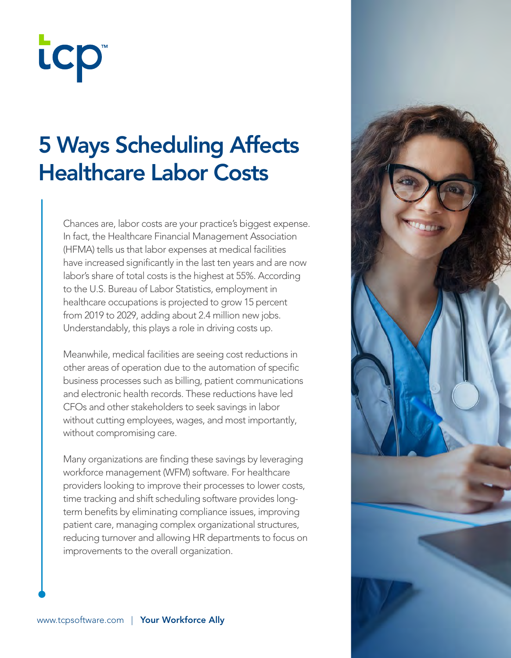# tcp

### 5 Ways Scheduling Affects Healthcare Labor Costs

Chances are, labor costs are your practice's biggest expense. In fact, the Healthcare Financial Management Association (HFMA) tells us that labor expenses at medical facilities have increased significantly in the last ten years and are now labor's share of total costs is the highest at 55%. According to the U.S. Bureau of Labor Statistics, employment in healthcare occupations is projected to grow 15 percent from 2019 to 2029, adding about 2.4 million new jobs. Understandably, this plays a role in driving costs up.

Meanwhile, medical facilities are seeing cost reductions in other areas of operation due to the automation of specific business processes such as billing, patient communications and electronic health records. These reductions have led CFOs and other stakeholders to seek savings in labor without cutting employees, wages, and most importantly, without compromising care.

Many organizations are finding these savings by leveraging workforce management (WFM) software. For healthcare providers looking to improve their processes to lower costs, time tracking and shift scheduling software provides longterm benefits by eliminating compliance issues, improving patient care, managing complex organizational structures, reducing turnover and allowing HR departments to focus on improvements to the overall organization.

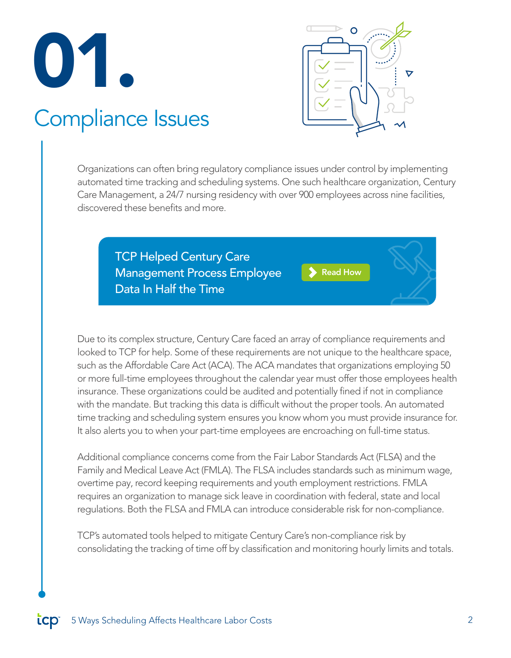

#### Compliance Issues

Organizations can often bring regulatory compliance issues under control by implementing automated time tracking and scheduling systems. One such healthcare organization, Century Care Management, a 24/7 nursing residency with over 900 employees across nine facilities, discovered these benefits and more.

TCP Helped Century Care Management Process Employee Data In Half the Time

[Read How](https://www.tcpsoftware.com/resources/case-study-century-care)

Due to its complex structure, Century Care faced an array of compliance requirements and looked to TCP for help. Some of these requirements are not unique to the healthcare space, such as the Affordable Care Act (ACA). The ACA mandates that organizations employing 50 or more full-time employees throughout the calendar year must offer those employees health insurance. These organizations could be audited and potentially fined if not in compliance with the mandate. But tracking this data is difficult without the proper tools. An automated time tracking and scheduling system ensures you know whom you must provide insurance for. It also alerts you to when your part-time employees are encroaching on full-time status.

Additional compliance concerns come from the Fair Labor Standards Act (FLSA) and the Family and Medical Leave Act (FMLA). The FLSA includes standards such as minimum wage, overtime pay, record keeping requirements and youth employment restrictions. FMLA requires an organization to manage sick leave in coordination with federal, state and local regulations. Both the FLSA and FMLA can introduce considerable risk for non-compliance.

TCP's automated tools helped to mitigate Century Care's non-compliance risk by consolidating the tracking of time off by classification and monitoring hourly limits and totals.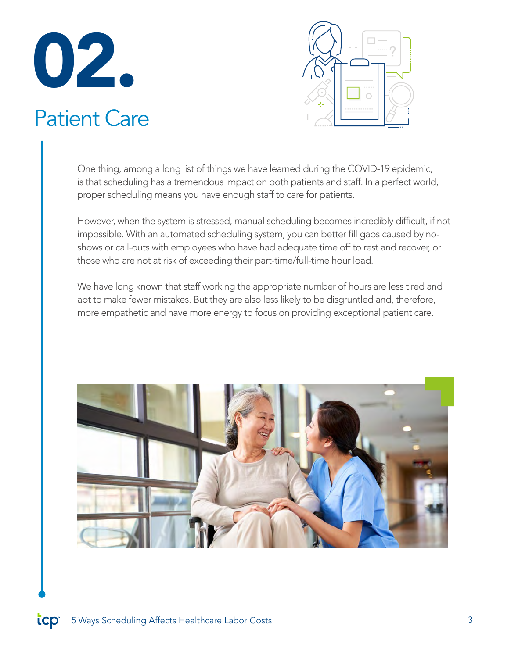

#### Patient Care



One thing, among a long list of things we have learned during the COVID-19 epidemic, is that scheduling has a tremendous impact on both patients and staff. In a perfect world, proper scheduling means you have enough staff to care for patients.

However, when the system is stressed, manual scheduling becomes incredibly difficult, if not impossible. With an automated scheduling system, you can better fill gaps caused by noshows or call-outs with employees who have had adequate time off to rest and recover, or those who are not at risk of exceeding their part-time/full-time hour load.

We have long known that staff working the appropriate number of hours are less tired and apt to make fewer mistakes. But they are also less likely to be disgruntled and, therefore, more empathetic and have more energy to focus on providing exceptional patient care.

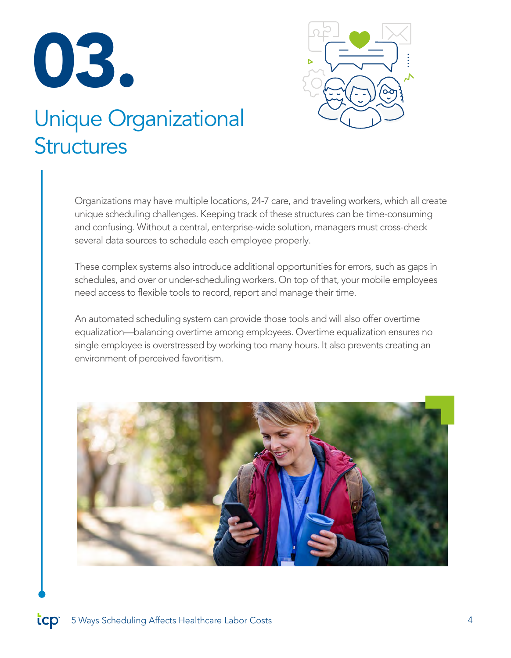



#### Unique Organizational **Structures**

Organizations may have multiple locations, 24-7 care, and traveling workers, which all create unique scheduling challenges. Keeping track of these structures can be time-consuming and confusing. Without a central, enterprise-wide solution, managers must cross-check several data sources to schedule each employee properly.

These complex systems also introduce additional opportunities for errors, such as gaps in schedules, and over or under-scheduling workers. On top of that, your mobile employees need access to flexible tools to record, report and manage their time.

An automated scheduling system can provide those tools and will also offer overtime equalization—balancing overtime among employees. Overtime equalization ensures no single employee is overstressed by working too many hours. It also prevents creating an environment of perceived favoritism.

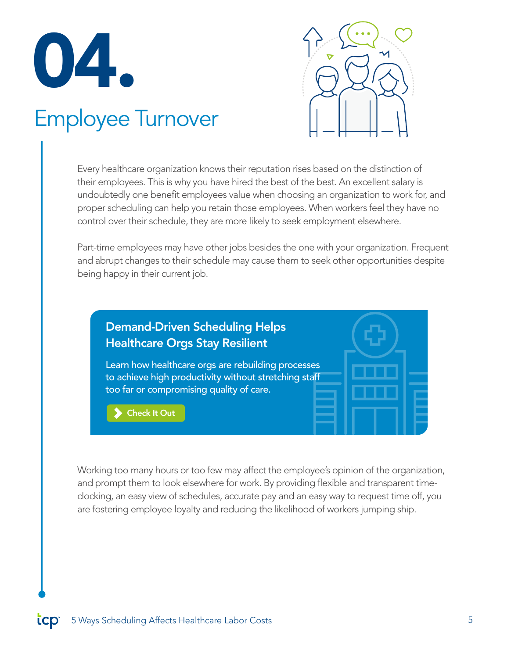

#### Employee Turnover



Every healthcare organization knows their reputation rises based on the distinction of their employees. This is why you have hired the best of the best. An excellent salary is undoubtedly one benefit employees value when choosing an organization to work for, and proper scheduling can help you retain those employees. When workers feel they have no control over their schedule, they are more likely to seek employment elsewhere.

Part-time employees may have other jobs besides the one with your organization. Frequent and abrupt changes to their schedule may cause them to seek other opportunities despite being happy in their current job.



Working too many hours or too few may affect the employee's opinion of the organization, and prompt them to look elsewhere for work. By providing flexible and transparent timeclocking, an easy view of schedules, accurate pay and an easy way to request time off, you are fostering employee loyalty and reducing the likelihood of workers jumping ship.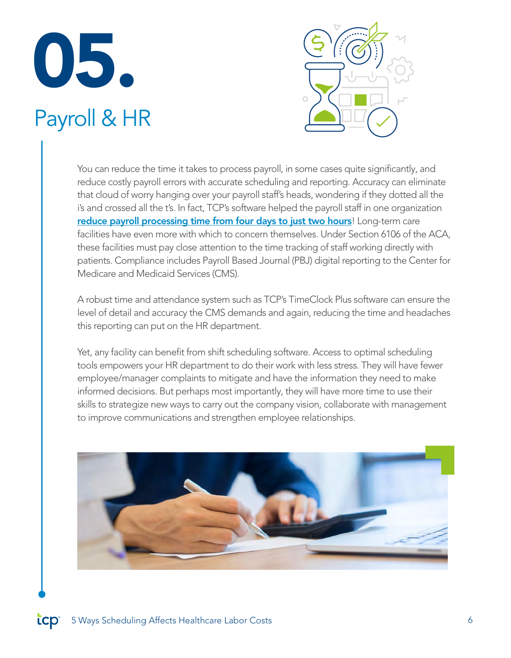### 05. Payroll & HR



You can reduce the time it takes to process payroll, in some cases quite significantly, and reduce costly payroll errors with accurate scheduling and reporting. Accuracy can eliminate that cloud of worry hanging over your payroll staff's heads, wondering if they dotted all the i's and crossed all the t's. In fact, TCP's software helped the payroll staff in one organization [reduce payroll processing time from four days to just two hours](https://www.tcpsoftware.com/resources/case-study-jasper-county-schools)! Long-term care facilities have even more with which to concern themselves. Under Section 6106 of the ACA, these facilities must pay close attention to the time tracking of staff working directly with patients. Compliance includes Payroll Based Journal (PBJ) digital reporting to the Center for Medicare and Medicaid Services (CMS).

A robust time and attendance system such as TCP's TimeClock Plus software can ensure the level of detail and accuracy the CMS demands and again, reducing the time and headaches this reporting can put on the HR department.

Yet, any facility can benefit from shift scheduling software. Access to optimal scheduling tools empowers your HR department to do their work with less stress. They will have fewer employee/manager complaints to mitigate and have the information they need to make informed decisions. But perhaps most importantly, they will have more time to use their skills to strategize new ways to carry out the company vision, collaborate with management to improve communications and strengthen employee relationships.